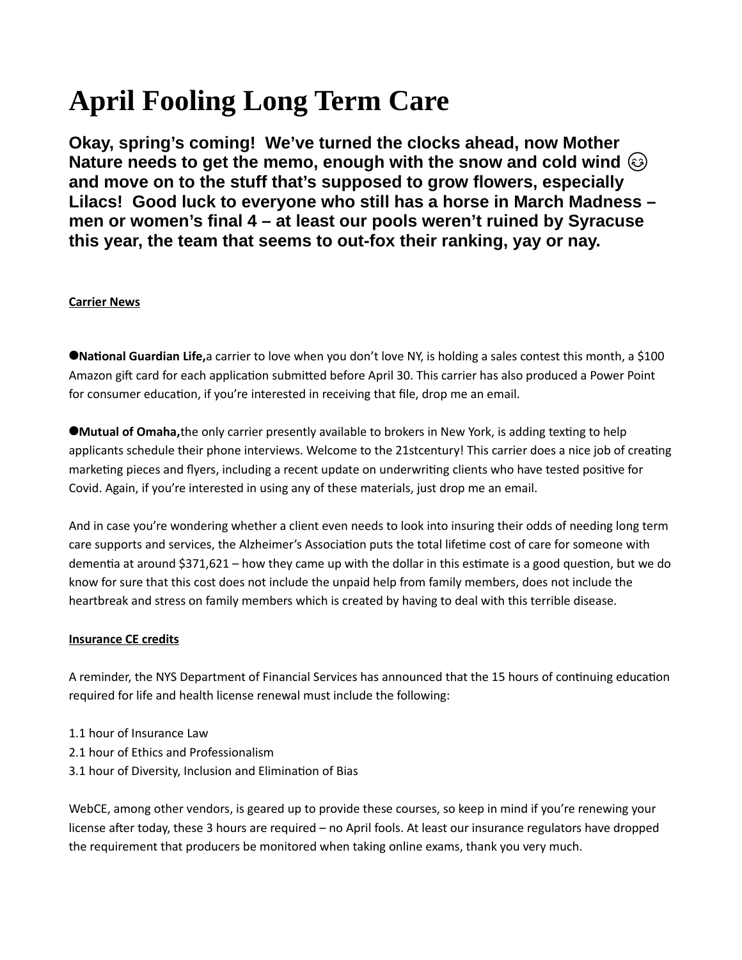# **April Fooling Long Term Care**

**Okay, spring's coming! We've turned the clocks ahead, now Mother Nature needs to get the memo, enough with the snow and cold wind and move on to the stuff that's supposed to grow flowers, especially Lilacs! Good luck to everyone who still has a horse in March Madness – men or women's final 4 – at least our pools weren't ruined by Syracuse this year, the team that seems to out-fox their ranking, yay or nay.**

## **Carrier News**

**National Guardian Life,**a carrier to love when you don't love NY, is holding a sales contest this month, a \$100 Amazon gift card for each application submitted before April 30. This carrier has also produced a Power Point for consumer education, if you're interested in receiving that file, drop me an email.

**Mutual of Omaha,**the only carrier presently available to brokers in New York, is adding texting to help applicants schedule their phone interviews. Welcome to the 21stcentury! This carrier does a nice job of creating marketing pieces and flyers, including a recent update on underwriting clients who have tested positive for Covid. Again, if you're interested in using any of these materials, just drop me an email.

And in case you're wondering whether a client even needs to look into insuring their odds of needing long term care supports and services, the Alzheimer's Association puts the total lifetime cost of care for someone with dementia at around \$371,621 – how they came up with the dollar in this estimate is a good question, but we do know for sure that this cost does not include the unpaid help from family members, does not include the heartbreak and stress on family members which is created by having to deal with this terrible disease.

### **Insurance CE credits**

A reminder, the NYS Department of Financial Services has announced that the 15 hours of continuing education required for life and health license renewal must include the following:

- 1.1 hour of Insurance Law
- 2.1 hour of Ethics and Professionalism
- 3.1 hour of Diversity, Inclusion and Elimination of Bias

WebCE, among other vendors, is geared up to provide these courses, so keep in mind if you're renewing your license after today, these 3 hours are required – no April fools. At least our insurance regulators have dropped the requirement that producers be monitored when taking online exams, thank you very much.